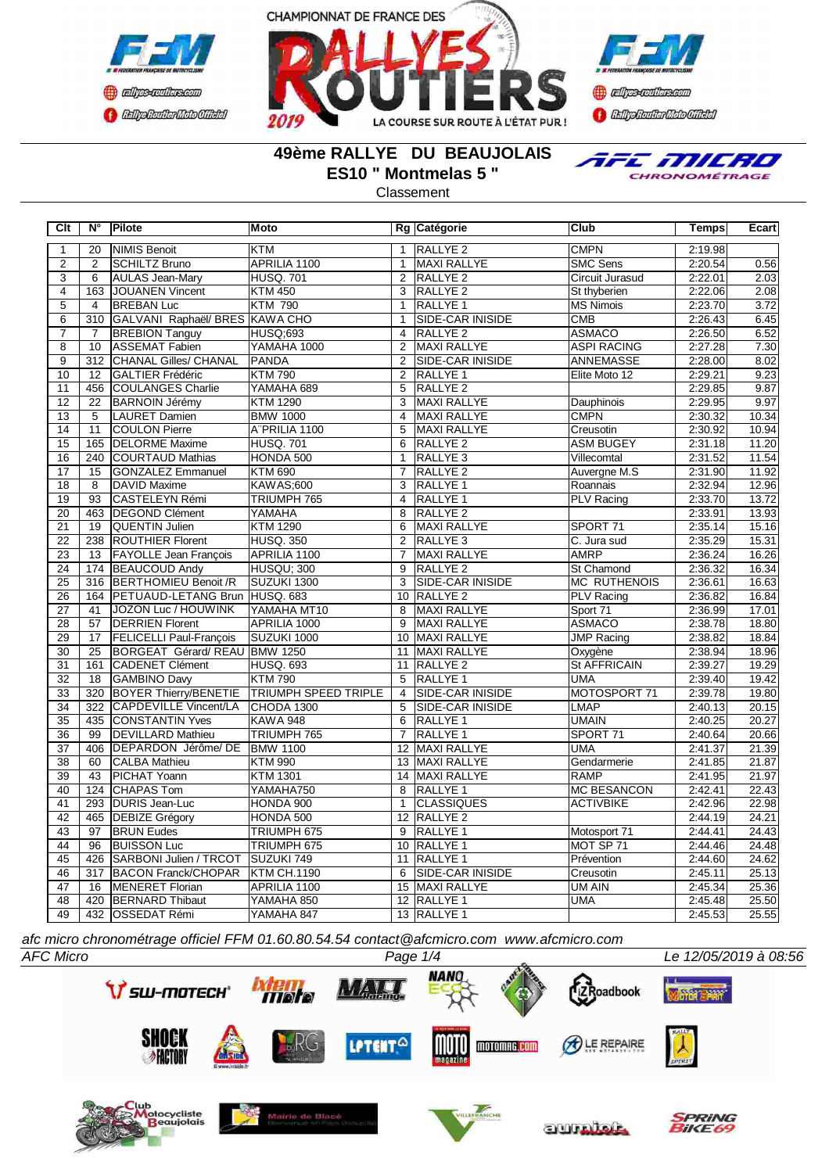





### **49ème RALLYE DU BEAUJOLAIS ES10 " Montmelas 5 "**

TEE MILRO CHRONOMÉTRAGE

Classement

| Clt                       | N°               | Pilote                         | <b>Moto</b>                 |                 | Rg Catégorie            | Club                | <b>Temps</b> | Ecart |
|---------------------------|------------------|--------------------------------|-----------------------------|-----------------|-------------------------|---------------------|--------------|-------|
| $\mathbf{1}$              | $\overline{20}$  | <b>INIMIS Benoit</b>           | <b>KTM</b>                  | $\mathbf{1}$    | <b>RALLYE 2</b>         | <b>CMPN</b>         | 2:19.98      |       |
| $\overline{2}$            | $\overline{2}$   | SCHILTZ Bruno                  | APRILIA 1100                | $\overline{1}$  | <b>MAXI RALLYE</b>      | <b>SMC Sens</b>     | 2:20.54      | 0.56  |
| $\overline{\overline{3}}$ | $\overline{6}$   | <b>AULAS Jean-Mary</b>         | <b>HUSQ.701</b>             | $\overline{2}$  | RALLYE <sub>2</sub>     | Circuit Jurasud     | 2:22.01      | 2.03  |
| $\overline{4}$            | 163              | JOUANEN Vincent                | <b>KTM 450</b>              | $\overline{3}$  | <b>RALLYE 2</b>         | St thyberien        | 2:22.06      | 2.08  |
| $\overline{5}$            | $\overline{4}$   | <b>BREBAN Luc</b>              | <b>KTM 790</b>              | $\mathbf{1}$    | <b>RALLYE 1</b>         | <b>MS Nimois</b>    | 2:23.70      | 3.72  |
| $\overline{6}$            | 310              | GALVANI Raphaël/ BRES KAWA CHO |                             | $\mathbf{1}$    | SIDE-CAR INISIDE        | CMB                 | 2:26.43      | 6.45  |
| $\overline{7}$            | $\overline{7}$   | <b>BREBION Tanguy</b>          | <b>HUSQ;693</b>             | $\overline{4}$  | RALLYE <sub>2</sub>     | <b>ASMACO</b>       | 2:26.50      | 6.52  |
| $\overline{8}$            | 10               | <b>ASSEMAT Fabien</b>          | YAMAHA 1000                 | $\overline{2}$  | <b>MAXI RALLYE</b>      | <b>ASPI RACING</b>  | 2:27.28      | 7.30  |
| $\overline{9}$            | $\overline{312}$ | <b>CHANAL Gilles/ CHANAL</b>   | <b>PANDA</b>                | 2               | SIDE-CAR INISIDE        | <b>ANNEMASSE</b>    | 2:28.00      | 8.02  |
| 10                        | 12               | GALTIER Frédéric               | <b>KTM790</b>               | $\overline{2}$  | RALLYE <sub>1</sub>     | Elite Moto 12       | 2:29.21      | 9.23  |
| 11                        | 456              | COULANGES Charlie              | YAMAHA 689                  | 5               | RALLYE <sub>2</sub>     |                     | 2:29.85      | 9.87  |
| 12                        | $\overline{22}$  | <b>BARNOIN Jérémy</b>          | <b>KTM 1290</b>             | $\overline{3}$  | MAXI RALLYE             | <b>Dauphinois</b>   | 2:29.95      | 9.97  |
| 13                        | 5                | <b>LAURET Damien</b>           | <b>BMW 1000</b>             | 4               | <b>MAXI RALLYE</b>      | <b>CMPN</b>         | 2:30.32      | 10.34 |
| $\overline{14}$           | $\overline{11}$  | <b>COULON Pierre</b>           | A"PRILIA 1100               | $\overline{5}$  | MAXI RALLYE             | Creusotin           | 2:30.92      | 10.94 |
| $\overline{15}$           | 165              | <b>DELORME</b> Maxime          | <b>HUSQ. 701</b>            | 6               | <b>RALLYE 2</b>         | <b>ASM BUGEY</b>    | 2:31.18      | 11.20 |
| $\overline{16}$           | 240              | <b>COURTAUD Mathias</b>        | HONDA 500                   | $\overline{1}$  | RALLYE <sub>3</sub>     | Villecomtal         | 2:31.52      | 11.54 |
| $\overline{17}$           | 15               | <b>GONZALEZ Emmanuel</b>       | <b>KTM 690</b>              | $\overline{7}$  | RALLYE <sub>2</sub>     | Auvergne M.S        | 2:31.90      | 11.92 |
| $\overline{18}$           | $\overline{8}$   | <b>DAVID Maxime</b>            | <b>KAWAS;600</b>            | $\overline{3}$  | RALLYE <sub>1</sub>     | Roannais            | 2:32.94      | 12.96 |
| 19                        | $\overline{93}$  | CASTELEYN Rémi                 | TRIUMPH 765                 | 4               | <b>RALLYE 1</b>         | PLV Racing          | 2:33.70      | 13.72 |
| 20                        | 463              | <b>DEGOND Clément</b>          | YAMAHA                      | 8               | RALLYE <sub>2</sub>     |                     | 2:33.91      | 13.93 |
| $\overline{21}$           | 19               | <b>QUENTIN Julien</b>          | <b>KTM 1290</b>             | 6               | MAXI RALLYE             | SPORT <sub>71</sub> | 2:35.14      | 15.16 |
| $\overline{22}$           | 238              | <b>ROUTHIER Florent</b>        | <b>HUSQ. 350</b>            | $\overline{2}$  | RALLYE <sub>3</sub>     | C. Jura sud         | 2:35.29      | 15.31 |
| $\overline{23}$           | $\overline{13}$  | FAYOLLE Jean François          | APRILIA 1100                | $\overline{7}$  | MAXI RALLYE             | <b>AMRP</b>         | 2:36.24      | 16.26 |
| $\overline{24}$           | 174              | <b>BEAUCOUD Andy</b>           | HUSQU; 300                  | $\overline{9}$  | RALLYE <sub>2</sub>     | <b>St Chamond</b>   | 2:36.32      | 16.34 |
| $\overline{25}$           | $\overline{316}$ | <b>BERTHOMIEU Benoit /R</b>    | SUZUKI 1300                 | $\overline{3}$  | SIDE-CAR INISIDE        | <b>MC RUTHENOIS</b> | 2:36.61      | 16.63 |
| $\overline{26}$           | 164              | PETUAUD-LETANG Brun HUSQ. 683  |                             |                 | 10 RALLYE 2             | <b>PLV Racing</b>   | 2:36.82      | 16.84 |
| $\overline{27}$           | 41               | JOZON Luc / HOUWINK            | YAMAHA MT10                 | 8               | <b>MAXI RALLYE</b>      | Sport 71            | 2:36.99      | 17.01 |
| $\overline{28}$           | 57               | <b>DERRIEN Florent</b>         | APRILIA 1000                | 9               | <b>MAXI RALLYE</b>      | <b>ASMACO</b>       | 2:38.78      | 18.80 |
| 29                        | 17               | <b>FELICELLI Paul-François</b> | SUZUKI 1000                 | 10              | MAXI RALLYE             | <b>JMP Racing</b>   | 2:38.82      | 18.84 |
| 30                        | 25               | BORGEAT Gérard/REAU BMW 1250   |                             | 11              | <b>MAXI RALLYE</b>      | Oxygène             | 2:38.94      | 18.96 |
| $\overline{31}$           | 161              | <b>CADENET Clément</b>         | <b>HUSQ, 693</b>            | $\overline{11}$ | RALLYE <sub>2</sub>     | St AFFRICAIN        | 2:39.27      | 19.29 |
| 32                        | $\overline{18}$  | <b>GAMBINO Davy</b>            | <b>KTM790</b>               | 5               | <b>RALLYE 1</b>         | <b>UMA</b>          | 2:39.40      | 19.42 |
| $\overline{33}$           | 320              | <b>BOYER Thierry/BENETIE</b>   | <b>TRIUMPH SPEED TRIPLE</b> | $\overline{4}$  | <b>SIDE-CAR INISIDE</b> | MOTOSPORT 71        | 2:39.78      | 19.80 |
| $\overline{34}$           | $\overline{322}$ | CAPDEVILLE Vincent/LA          | CHODA 1300                  | $\overline{5}$  | <b>SIDE-CAR INISIDE</b> | <b>LMAP</b>         | 2:40.13      | 20.15 |
| $\overline{35}$           | 435              | CONSTANTIN Yves                | <b>KAWA 948</b>             | 6               | <b>RALLYE 1</b>         | <b>UMAIN</b>        | 2:40.25      | 20.27 |
| $\overline{36}$           | 99               | <b>DEVILLARD Mathieu</b>       | TRIUMPH 765                 | $\overline{7}$  | <b>RALLYE 1</b>         | SPORT 71            | 2:40.64      | 20.66 |
| $\overline{37}$           | 406              | DEPARDON Jérôme/ DE            | <b>BMW 1100</b>             | 12              | MAXI RALLYE             | <b>UMA</b>          | 2:41.37      | 21.39 |
| $\overline{38}$           | 60               | <b>CALBA Mathieu</b>           | <b>KTM 990</b>              | 13              | <b>MAXI RALLYE</b>      | Gendarmerie         | 2:41.85      | 21.87 |
| 39                        | 43               | PICHAT Yoann                   | <b>KTM 1301</b>             |                 | 14 MAXI RALLYE          | <b>RAMP</b>         | 2:41.95      | 21.97 |
| 40                        | 124              | <b>CHAPAS Tom</b>              | YAMAHA750                   | $\overline{8}$  | <b>RALLYE 1</b>         | <b>MC BESANCON</b>  | 2:42.41      | 22.43 |
| 41                        | 293              | <b>DURIS Jean-Luc</b>          | HONDA 900                   | $\overline{1}$  | <b>CLASSIQUES</b>       | <b>ACTIVBIKE</b>    | 2:42.96      | 22.98 |
| $\overline{42}$           | 465              | <b>DEBIZE Grégory</b>          | HONDA 500                   | $\overline{12}$ | RALLYE <sub>2</sub>     |                     | 2:44.19      | 24.21 |
| 43                        | 97               | <b>BRUN Eudes</b>              | TRIUMPH 675                 | $\overline{9}$  | RALLYE <sub>1</sub>     | Motosport 71        | 2:44.41      | 24.43 |
| 44                        | 96               | <b>BUISSON Luc</b>             | TRIUMPH 675                 | 10              | <b>RALLYE 1</b>         | MOT SP 71           | 2:44.46      | 24.48 |
| 45                        | 426              | SARBONI Julien / TRCOT         | <b>SUZUKI 749</b>           |                 | 11 RALLYE 1             | Prévention          | 2:44.60      | 24.62 |
| 46                        | $\overline{317}$ | <b>BACON Franck/CHOPAR</b>     | <b>KTM CH.1190</b>          | 6               | SIDE-CAR INISIDE        | Creusotin           | 2:45.11      | 25.13 |
| 47                        | 16               | MENERET Florian                | APRILIA 1100                |                 | 15 MAXI RALLYE          | UM AIN              | 2:45.34      | 25.36 |
| 48                        | 420              | <b>BERNARD Thibaut</b>         | YAMAHA 850                  |                 | 12 RALLYE 1             | <b>UMA</b>          | 2:45.48      | 25.50 |
| 49                        | 432              | <b>OSSEDAT Rémi</b>            | YAMAHA 847                  |                 | 13 RALLYE 1             |                     | 2:45.53      | 25.55 |

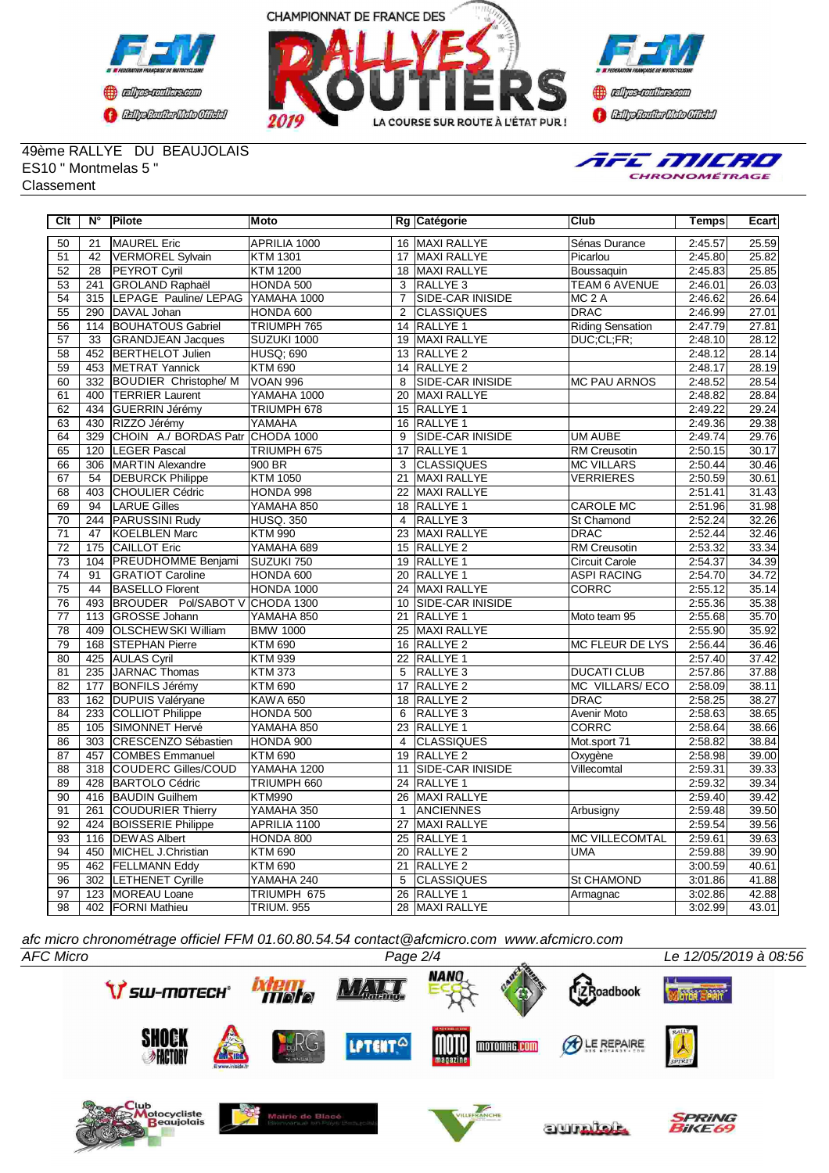





49ème RALLYE DU BEAUJOLAIS ES10 " Montmelas 5 " **Classement** 



| Clt             | N°               | Pilote                       | Moto              |                | Rg Catégorie            | Club                    | <b>Temps</b> | Ecart              |
|-----------------|------------------|------------------------------|-------------------|----------------|-------------------------|-------------------------|--------------|--------------------|
| 50              | 21               | <b>MAUREL Eric</b>           | APRILIA 1000      |                | 16 MAXI RALLYE          | Sénas Durance           | 2:45.57      | 25.59              |
| 51              | 42               | <b>VERMOREL Sylvain</b>      | <b>KTM 1301</b>   | 17             | <b>MAXI RALLYE</b>      | Picarlou                | 2:45.80      | 25.82              |
| $\overline{52}$ | $\overline{28}$  | <b>PEYROT Cyril</b>          | <b>KTM 1200</b>   |                | 18 MAXI RALLYE          | Boussaquin              | 2:45.83      | 25.85              |
| 53              | 241              | <b>GROLAND Raphaël</b>       | HONDA 500         | 3              | <b>RALLYE 3</b>         | TEAM 6 AVENUE           | 2:46.01      | $\overline{26.03}$ |
| $\overline{54}$ | 315              | LEPAGE Pauline/ LEPAG        | YAMAHA 1000       | $\overline{7}$ | <b>SIDE-CAR INISIDE</b> | MC <sub>2</sub> A       | 2:46.62      | 26.64              |
| 55              | 290              | DAVAL Johan                  | HONDA 600         | 2              | <b>CLASSIQUES</b>       | <b>DRAC</b>             | 2:46.99      | 27.01              |
| 56              | 114              | <b>BOUHATOUS Gabriel</b>     | TRIUMPH 765       |                | 14 RALLYE 1             | <b>Riding Sensation</b> | 2:47.79      | 27.81              |
| 57              | 33               | <b>GRANDJEAN Jacques</b>     | SUZUKI 1000       |                | 19 MAXI RALLYE          | DUC:CL:FR:              | 2:48.10      | 28.12              |
| $\overline{58}$ | 452              | <b>BERTHELOT Julien</b>      | <b>HUSQ: 690</b>  | 13             | <b>RALLYE 2</b>         |                         | 2:48.12      | 28.14              |
| 59              | 453              | <b>METRAT Yannick</b>        | <b>KTM 690</b>    |                | 14 RALLYE 2             |                         | 2:48.17      | 28.19              |
| 60              | 332              | <b>BOUDIER Christophe/ M</b> | <b>VOAN 996</b>   | $\overline{8}$ | SIDE-CAR INISIDE        | <b>MC PAU ARNOS</b>     | 2:48.52      | 28.54              |
| 61              | 400              | <b>TERRIER Laurent</b>       | YAMAHA 1000       |                | 20 MAXI RALLYE          |                         | 2:48.82      | 28.84              |
| 62              | 434              | GUERRIN Jérémy               | TRIUMPH 678       |                | 15 RALLYE 1             |                         | 2:49.22      | 29.24              |
| 63              | 430              | RIZZO Jérémy                 | YAMAHA            |                | 16 RALLYE 1             |                         | 2:49.36      | 29.38              |
| 64              | 329              | CHOIN A./ BORDAS Patr        | CHODA 1000        | 9              | <b>SIDE-CAR INISIDE</b> | <b>UM AUBE</b>          | 2:49.74      | 29.76              |
| 65              | 120              | LEGER Pascal                 | TRIUMPH 675       | 17             | RALLYE 1                | RM Creusotin            | 2:50.15      | 30.17              |
| 66              | 306              | <b>MARTIN Alexandre</b>      | 900 BR            | $\overline{3}$ | <b>CLASSIQUES</b>       | <b>MC VILLARS</b>       | 2:50.44      | 30.46              |
| 67              | 54               | <b>DEBURCK Philippe</b>      | <b>KTM 1050</b>   | 21             | <b>MAXI RALLYE</b>      | <b>VERRIERES</b>        | 2:50.59      | 30.61              |
| $\overline{68}$ | 403              | <b>CHOULIER Cédric</b>       | HONDA 998         | 22             | <b>MAXI RALLYE</b>      |                         | 2:51.41      | 31.43              |
| 69              | 94               | <b>LARUE Gilles</b>          | YAMAHA 850        |                | 18 RALLYE 1             | <b>CAROLE MC</b>        | 2:51.96      | 31.98              |
| $\overline{70}$ | 244              | <b>PARUSSINI Rudy</b>        | <b>HUSQ. 350</b>  | $\overline{4}$ | RALLYE <sub>3</sub>     | St Chamond              | 2:52.24      | 32.26              |
| $\overline{71}$ | $\overline{47}$  | <b>KOELBLEN Marc</b>         | <b>KTM 990</b>    | 23             | <b>MAXI RALLYE</b>      | <b>DRAC</b>             | 2:52.44      | 32.46              |
| $\overline{72}$ | 175              | <b>CAILLOT Eric</b>          | YAMAHA 689        |                | 15 RALLYE 2             | <b>RM Creusotin</b>     | 2:53.32      | 33.34              |
| 73              | 104              | <b>PREUDHOMME Benjami</b>    | SUZUKI 750        | 19             | <b>RALLYE 1</b>         | <b>Circuit Carole</b>   | 2:54.37      | 34.39              |
| $\overline{74}$ | $\overline{91}$  | <b>GRATIOT Caroline</b>      | HONDA 600         | 20             | <b>RALLYE 1</b>         | <b>ASPI RACING</b>      | 2:54.70      | 34.72              |
| $\overline{75}$ | 44               | <b>BASELLO Florent</b>       | HONDA 1000        | 24             | MAXI RALLYE             | CORRC                   | 2:55.12      | 35.14              |
| 76              | 493              | BROUDER Pol/SABOT V          | CHODA 1300        |                | 10 SIDE-CAR INISIDE     |                         | 2:55.36      | 35.38              |
| $\overline{77}$ | 113              | <b>GROSSE Johann</b>         | YAMAHA 850        | 21             | <b>RALLYE 1</b>         | Moto team 95            | 2:55.68      | 35.70              |
| 78              | 409              | <b>OLSCHEWSKI William</b>    | <b>BMW 1000</b>   |                | 25 MAXI RALLYE          |                         | 2:55.90      | 35.92              |
| 79              | 168              | <b>STEPHAN Pierre</b>        | <b>KTM 690</b>    |                | 16 RALLYE 2             | <b>MC FLEUR DE LYS</b>  | 2:56.44      | 36.46              |
| 80              | 425              | <b>AULAS Cyril</b>           | <b>KTM 939</b>    | 22             | <b>RALLYE 1</b>         |                         | 2:57.40      | 37.42              |
| $\overline{81}$ | 235              | JARNAC Thomas                | <b>KTM 373</b>    | 5              | RALLYE <sub>3</sub>     | <b>DUCATI CLUB</b>      | 2:57.86      | 37.88              |
| 82              | 177              | <b>BONFILS Jérémy</b>        | <b>KTM 690</b>    | 17             | RALLYE <sub>2</sub>     | <b>MC VILLARS/ECO</b>   | 2:58.09      | 38.11              |
| 83              | 162              | DUPUIS Valéryane             | <b>KAWA 650</b>   |                | 18 RALLYE 2             | <b>DRAC</b>             | 2:58.25      | 38.27              |
| 84              | 233              | COLLIOT Philippe             | HONDA 500         | 6              | RALLYE <sub>3</sub>     | Avenir Moto             | 2:58.63      | 38.65              |
| 85              | 105              | SIMONNET Hervé               | YAMAHA 850        | 23             | RALLYE <sub>1</sub>     | <b>CORRC</b>            | 2:58.64      | 38.66              |
| 86              | $\overline{303}$ | <b>CRESCENZO Sébastien</b>   | HONDA 900         | $\overline{4}$ | <b>CLASSIQUES</b>       | Mot.sport 71            | 2:58.82      | 38.84              |
| 87              | 457              | <b>COMBES Emmanuel</b>       | <b>KTM 690</b>    | 19             | RALLYE <sub>2</sub>     | Oxygène                 | 2:58.98      | 39.00              |
| 88              | $\overline{318}$ | <b>COUDERC Gilles/COUD</b>   | YAMAHA 1200       | 11             | SIDE-CAR INISIDE        | Villecomtal             | 2:59.31      | 39.33              |
| 89              | 428              | <b>BARTOLO Cédric</b>        | TRIUMPH 660       |                | 24 RALLYE 1             |                         | 2:59.32      | 39.34              |
| $\overline{90}$ | 416              | <b>BAUDIN Guilhem</b>        | <b>KTM990</b>     | 26             | MAXI RALLYE             |                         | 2:59.40      | 39.42              |
| 91              | 261              | COUDURIER Thierry            | YAMAHA 350        | $\mathbf{1}$   | ANCIENNES               | Arbusigny               | 2:59.48      | 39.50              |
| 92              | 424              | <b>BOISSERIE Philippe</b>    | APRILIA 1100      | 27             | <b>MAXI RALLYE</b>      |                         | 2:59.54      | 39.56              |
| 93              | 116              | <b>DEWAS Albert</b>          | HONDA 800         |                | 25 RALLYE 1             | <b>MC VILLECOMTAL</b>   | 2:59.61      | 39.63              |
| 94              | 450              | MICHEL J.Christian           | <b>KTM 690</b>    | 20             | <b>RALLYE 2</b>         | <b>UMA</b>              | 2:59.88      | 39.90              |
| 95              |                  | 462 FELLMANN Eddy            | <b>KTM 690</b>    | 21             | RALLYE <sub>2</sub>     |                         | 3:00.59      | 40.61              |
| 96              |                  | 302 LETHENET Cyrille         | YAMAHA 240        | 5              | <b>CLASSIQUES</b>       | St CHAMOND              | 3:01.86      | 41.88              |
| 97              |                  | 123 MOREAU Loane             | TRIUMPH 675       | 26             | <b>RALLYE 1</b>         | Armagnac                | 3:02.86      | 42.88              |
| 98              |                  | 402 FORNI Mathieu            | <b>TRIUM. 955</b> |                | 28 MAXI RALLYE          |                         | 3:02.99      | 43.01              |

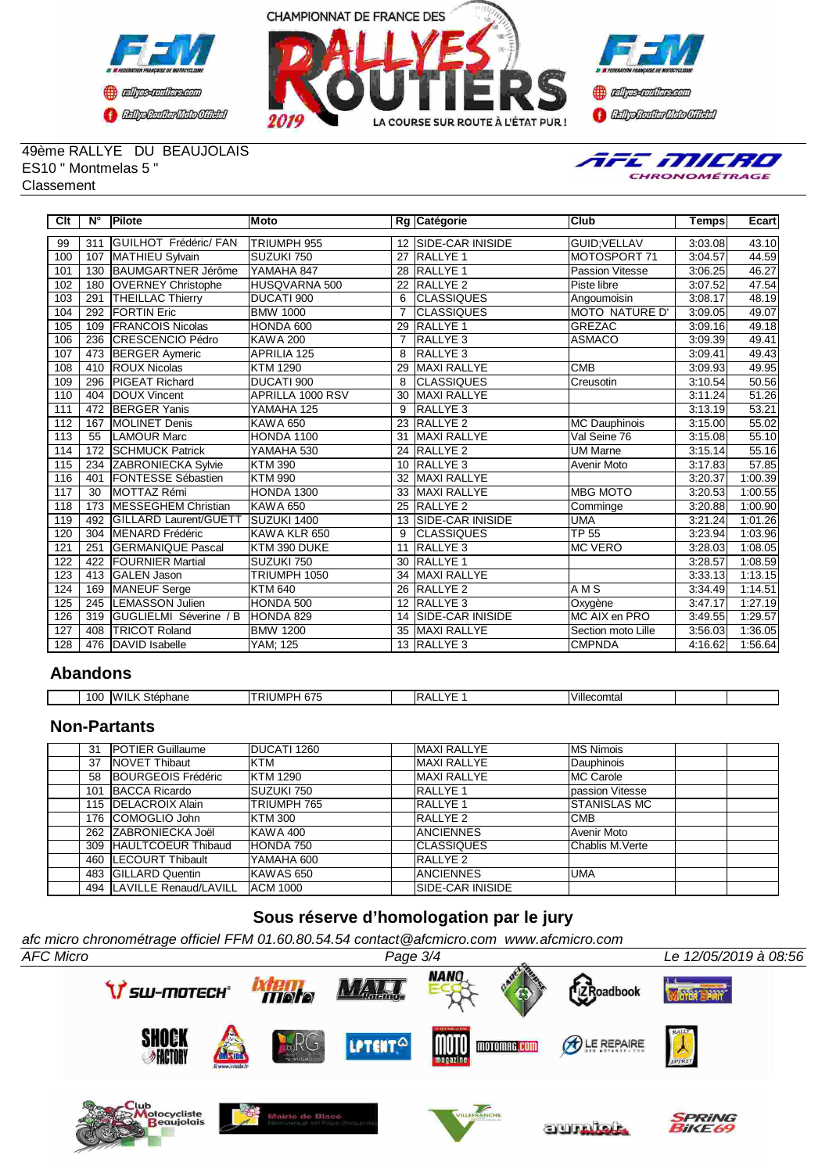





#### 49ème RALLYE DU BEAUJOLAIS ES10 " Montmelas 5 " Classement



| Clt              | N۰  | Pilote                        | Moto              |                | Rg Catégorie            | <b>Club</b>           | <b>Temps</b> | Ecart   |
|------------------|-----|-------------------------------|-------------------|----------------|-------------------------|-----------------------|--------------|---------|
| 99               | 311 | <b>GUILHOT Frédéric/ FAN</b>  | TRIUMPH 955       |                | 12 SIDE-CAR INISIDE     | GUID:VELLAV           | 3:03.08      | 43.10   |
| 100              | 107 | MATHIEU Sylvain               | SUZUKI 750        | 27             | <b>RALLYE 1</b>         | MOTOSPORT 71          | 3:04.57      | 44.59   |
| 101              | 130 | <b>IBAUMGARTNER Jérôme</b>    | YAMAHA 847        | 28             | <b>RALLYE 1</b>         | Passion Vitesse       | 3:06.25      | 46.27   |
| 102              | 180 | <b>OVERNEY Christophe</b>     | HUSQVARNA 500     | 22             | <b>RALLYE 2</b>         | Piste libre           | 3:07.52      | 47.54   |
| 103              | 291 | <b>THEILLAC Thierry</b>       | DUCATI 900        | 6              | <b>CLASSIQUES</b>       | Angoumoisin           | 3:08.17      | 48.19   |
| 104              | 292 | <b>IFORTIN Eric</b>           | <b>BMW 1000</b>   | $\overline{7}$ | ICLASSIQUES             | <b>MOTO NATURE D'</b> | 3:09.05      | 49.07   |
| 105              | 109 | <b>FRANCOIS Nicolas</b>       | HONDA 600         | 29             | <b>RALLYE 1</b>         | <b>GREZAC</b>         | 3:09.16      | 49.18   |
| 106              | 236 | <b>CRESCENCIO Pédro</b>       | <b>KAWA 200</b>   | $\overline{7}$ | <b>RALLYE 3</b>         | <b>ASMACO</b>         | 3:09.39      | 49.41   |
| 107              | 473 | <b>BERGER Aymeric</b>         | APRILIA 125       | 8              | <b>RALLYE3</b>          |                       | 3:09.41      | 49.43   |
| 108              | 410 | <b>ROUX Nicolas</b>           | <b>KTM 1290</b>   | 29             | <b>MAXI RALLYE</b>      | CMB                   | 3:09.93      | 49.95   |
| 109              | 296 | <b>PIGEAT Richard</b>         | DUCATI 900        | 8              | <b>CLASSIQUES</b>       | Creusotin             | 3:10.54      | 50.56   |
| 110              | 404 | DOUX Vincent                  | APRILLA 1000 RSV  | 30             | <b>MAXI RALLYE</b>      |                       | 3:11.24      | 51.26   |
| 111              | 472 | <b>BERGER Yanis</b>           | YAMAHA 125        | 9              | <b>RALLYE 3</b>         |                       | 3:13.19      | 53.21   |
| 112              | 167 | <b>IMOLINET Denis</b>         | <b>KAWA 650</b>   | 23             | RALLYE <sub>2</sub>     | MC Dauphinois         | 3:15.00      | 55.02   |
| $\overline{113}$ | 55  | <b>LAMOUR Marc</b>            | <b>HONDA 1100</b> | 31             | <b>MAXI RALLYE</b>      | Val Seine 76          | 3:15.08      | 55.10   |
| 114              | 172 | <b>SCHMUCK Patrick</b>        | YAMAHA 530        | 24             | <b>RALLYE 2</b>         | <b>UM Marne</b>       | 3:15.14      | 55.16   |
| 115              | 234 | <b>ZABRONIECKA Sylvie</b>     | <b>KTM390</b>     | 10             | <b>RALLYE 3</b>         | Avenir Moto           | 3:17.83      | 57.85   |
| 116              | 401 | <b>FONTESSE Sébastien</b>     | <b>KTM 990</b>    | 32             | <b>MAXI RALLYE</b>      |                       | 3:20.37      | 1:00.39 |
| 117              | 30  | MOTTAZ Rémi                   | <b>HONDA 1300</b> | 33             | <b>MAXI RALLYE</b>      | <b>MBG MOTO</b>       | 3:20.53      | 1:00.55 |
| 118              | 173 | <b>MESSEGHEM Christian</b>    | KAWA 650          | 25             | RALLYE <sub>2</sub>     | Comminge              | 3:20.88      | 1:00.90 |
| 119              | 492 | <b>IGILLARD Laurent/GUETT</b> | SUZUKI 1400       | 13             | <b>SIDE-CAR INISIDE</b> | <b>UMA</b>            | 3:21.24      | 1:01.26 |
| 120              | 304 | <b>IMENARD Frédéric</b>       | KAWA KLR 650      | 9              | <b>CLASSIQUES</b>       | TP 55                 | 3:23.94      | 1:03.96 |
| 121              | 251 | <b>GERMANIQUE Pascal</b>      | KTM 390 DUKE      | 11             | <b>RALLYE 3</b>         | <b>IMC VERO</b>       | 3:28.03      | 1:08.05 |
| 122              | 422 | <b>IFOURNIER Martial</b>      | SUZUKI 750        | 30             | <b>RALLYE 1</b>         |                       | 3:28.57      | 1:08.59 |
| 123              | 413 | <b>GALEN Jason</b>            | TRIUMPH 1050      | 34             | <b>MAXI RALLYE</b>      |                       | 3:33.13      | 1:13.15 |
| 124              | 169 | MANEUF Serge                  | <b>KTM 640</b>    | 26             | <b>RALLYE 2</b>         | $\overline{AMS}$      | 3:34.49      | 1:14.51 |
| 125              | 245 | <b>LEMASSON Julien</b>        | HONDA 500         | 12             | <b>RALLYE3</b>          | Oxygène               | 3:47.17      | 1:27.19 |
| 126              | 319 | GUGLIELMI Séverine / B        | HONDA 829         | 14             | <b>SIDE-CAR INISIDE</b> | MC AIX en PRO         | 3:49.55      | 1:29.57 |
| 127              | 408 | <b>TRICOT Roland</b>          | <b>BMW 1200</b>   | 35             | <b>MAXI RALLYE</b>      | Section moto Lille    | 3:56.03      | 1:36.05 |
| 128              | 476 | DAVID Isabelle                | YAM; 125          |                | 13 RALLYE 3             | <b>CMPNDA</b>         | 4:16.62      | 1:56.64 |

### **Abandons**

| 10C | 'IL<br>۱۱۸.<br>ephane<br>. .<br>" | $\sim$<br>JMP⊑<br>ິບເປ | . /F<br>Ił | Villecomtai |  |
|-----|-----------------------------------|------------------------|------------|-------------|--|

## **Non-Partants**

| 31  | <b>IPOTIER Guillaume</b>    | DUCATI 1260     | <b>MAXI RALLYE</b> | <b>IMS Nimois</b>        |
|-----|-----------------------------|-----------------|--------------------|--------------------------|
| 37  | <b>INOVET Thibaut</b>       | KTM             | <b>MAXI RALLYE</b> | Dauphinois               |
| 58  | <b>IBOURGEOIS Frédéric</b>  | <b>KTM 1290</b> | <b>MAXI RALLYE</b> | <b>IMC Carole</b>        |
| 101 | <b>BACCA Ricardo</b>        | SUZUKI 750      | <b>RALLYE 1</b>    | <b>I</b> passion Vitesse |
|     | 115 <b>IDELACROIX Alain</b> | TRIUMPH 765     | <b>RALLYE 1</b>    | <b>ISTANISLAS MC</b>     |
|     | 176 COMOGLIO John           | <b>KTM 300</b>  | <b>RALLYE 2</b>    | ІСМВ                     |
|     | 262 IZABRONIECKA Joël       | IKAWA 400       | <b>IANCIENNES</b>  | Avenir Moto              |
|     | 309 HAULTCOEUR Thibaud      | HONDA 750       | <b>ICLASSIQUES</b> | <b>I</b> Chablis M.Verte |
|     | 460 ILECOURT Thibault       | YAMAHA 600      | <b>IRALLYE 2</b>   |                          |
|     | 483 GILLARD Quentin         | KAWAS 650       | <b>IANCIENNES</b>  | IUMA                     |
|     | 494  LAVILLE Renaud/LAVILL  | <b>ACM 1000</b> | ISIDE-CAR INISIDE  |                          |

# **Sous réserve d'homologation par le jury**